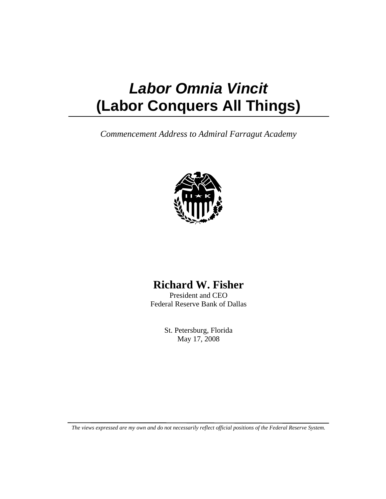## *Labor Omnia Vincit*  **(Labor Conquers All Things)**

*Commencement Address to Admiral Farragut Academy* 



## **Richard W. Fisher**

President and CEO Federal Reserve Bank of Dallas

> St. Petersburg, Florida May 17, 2008

*The views expressed are my own and do not necessarily reflect official positions of the Federal Reserve System.*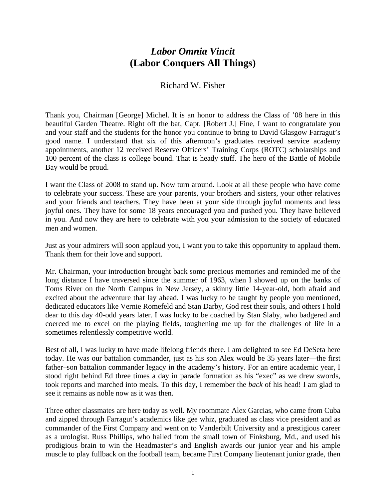## *Labor Omnia Vincit*  **(Labor Conquers All Things)**

## Richard W. Fisher

Thank you, Chairman [George] Michel. It is an honor to address the Class of '08 here in this beautiful Garden Theatre. Right off the bat, Capt. [Robert J.] Fine, I want to congratulate you and your staff and the students for the honor you continue to bring to David Glasgow Farragut's good name. I understand that six of this afternoon's graduates received service academy appointments, another 12 received Reserve Officers' Training Corps (ROTC) scholarships and 100 percent of the class is college bound. That is heady stuff. The hero of the Battle of Mobile Bay would be proud.

I want the Class of 2008 to stand up. Now turn around. Look at all these people who have come to celebrate your success. These are your parents, your brothers and sisters, your other relatives and your friends and teachers. They have been at your side through joyful moments and less joyful ones. They have for some 18 years encouraged you and pushed you. They have believed in you. And now they are here to celebrate with you your admission to the society of educated men and women.

Just as your admirers will soon applaud you, I want you to take this opportunity to applaud them. Thank them for their love and support.

Mr. Chairman, your introduction brought back some precious memories and reminded me of the long distance I have traversed since the summer of 1963, when I showed up on the banks of Toms River on the North Campus in New Jersey, a skinny little 14-year-old, both afraid and excited about the adventure that lay ahead. I was lucky to be taught by people you mentioned, dedicated educators like Vernie Romefeld and Stan Darby, God rest their souls, and others I hold dear to this day 40-odd years later. I was lucky to be coached by Stan Slaby, who badgered and coerced me to excel on the playing fields, toughening me up for the challenges of life in a sometimes relentlessly competitive world.

Best of all, I was lucky to have made lifelong friends there. I am delighted to see Ed DeSeta here today. He was our battalion commander, just as his son Alex would be 35 years later—the first father–son battalion commander legacy in the academy's history. For an entire academic year, I stood right behind Ed three times a day in parade formation as his "exec" as we drew swords, took reports and marched into meals. To this day, I remember the *back* of his head! I am glad to see it remains as noble now as it was then.

Three other classmates are here today as well. My roommate Alex Garcias, who came from Cuba and zipped through Farragut's academics like gee whiz, graduated as class vice president and as commander of the First Company and went on to Vanderbilt University and a prestigious career as a urologist. Russ Phillips, who hailed from the small town of Finksburg, Md., and used his prodigious brain to win the Headmaster's and English awards our junior year and his ample muscle to play fullback on the football team, became First Company lieutenant junior grade, then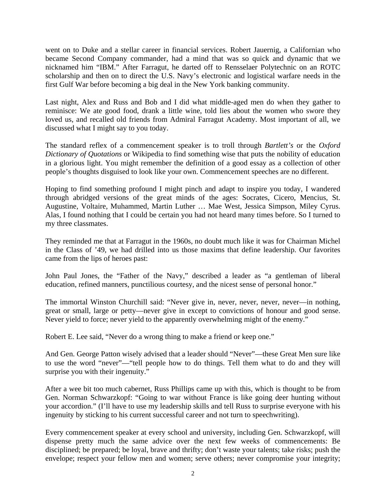went on to Duke and a stellar career in financial services. Robert Jauernig, a Californian who became Second Company commander, had a mind that was so quick and dynamic that we nicknamed him "IBM." After Farragut, he darted off to Rensselaer Polytechnic on an ROTC scholarship and then on to direct the U.S. Navy's electronic and logistical warfare needs in the first Gulf War before becoming a big deal in the New York banking community.

Last night, Alex and Russ and Bob and I did what middle-aged men do when they gather to reminisce: We ate good food, drank a little wine, told lies about the women who swore they loved us, and recalled old friends from Admiral Farragut Academy. Most important of all, we discussed what I might say to you today.

The standard reflex of a commencement speaker is to troll through *Bartlett's* or the *Oxford Dictionary of Quotations* or Wikipedia to find something wise that puts the nobility of education in a glorious light. You might remember the definition of a good essay as a collection of other people's thoughts disguised to look like your own. Commencement speeches are no different.

Hoping to find something profound I might pinch and adapt to inspire you today, I wandered through abridged versions of the great minds of the ages: Socrates, Cicero, Mencius, St. Augustine, Voltaire, Muhammed, Martin Luther … Mae West, Jessica Simpson, Miley Cyrus. Alas, I found nothing that I could be certain you had not heard many times before. So I turned to my three classmates.

They reminded me that at Farragut in the 1960s, no doubt much like it was for Chairman Michel in the Class of '49, we had drilled into us those maxims that define leadership. Our favorites came from the lips of heroes past:

John Paul Jones, the "Father of the Navy," described a leader as "a gentleman of liberal education, refined manners, punctilious courtesy, and the nicest sense of personal honor."

The immortal Winston Churchill said: "Never give in, never, never, never, never—in nothing, great or small, large or petty—never give in except to convictions of honour and good sense. Never yield to force; never yield to the apparently overwhelming might of the enemy."

Robert E. Lee said, "Never do a wrong thing to make a friend or keep one."

And Gen. George Patton wisely advised that a leader should "Never"—these Great Men sure like to use the word "never"—"tell people how to do things. Tell them what to do and they will surprise you with their ingenuity."

After a wee bit too much cabernet, Russ Phillips came up with this, which is thought to be from Gen. Norman Schwarzkopf: "Going to war without France is like going deer hunting without your accordion." (I'll have to use my leadership skills and tell Russ to surprise everyone with his ingenuity by sticking to his current successful career and not turn to speechwriting).

Every commencement speaker at every school and university, including Gen. Schwarzkopf, will dispense pretty much the same advice over the next few weeks of commencements: Be disciplined; be prepared; be loyal, brave and thrifty; don't waste your talents; take risks; push the envelope; respect your fellow men and women; serve others; never compromise your integrity;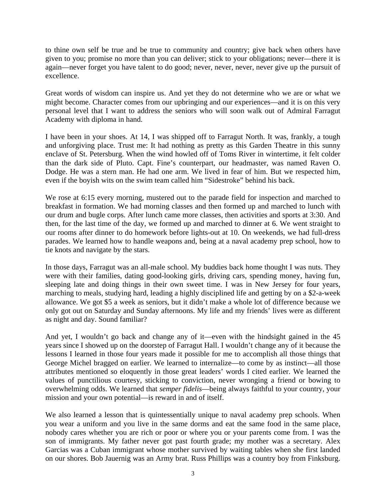to thine own self be true and be true to community and country; give back when others have given to you; promise no more than you can deliver; stick to your obligations; never—there it is again—never forget you have talent to do good; never, never, never, never give up the pursuit of excellence.

Great words of wisdom can inspire us. And yet they do not determine who we are or what we might become. Character comes from our upbringing and our experiences—and it is on this very personal level that I want to address the seniors who will soon walk out of Admiral Farragut Academy with diploma in hand.

I have been in your shoes. At 14, I was shipped off to Farragut North. It was, frankly, a tough and unforgiving place. Trust me: It had nothing as pretty as this Garden Theatre in this sunny enclave of St. Petersburg. When the wind howled off of Toms River in wintertime, it felt colder than the dark side of Pluto. Capt. Fine's counterpart, our headmaster, was named Raven O. Dodge. He was a stern man. He had one arm. We lived in fear of him. But we respected him, even if the boyish wits on the swim team called him "Sidestroke" behind his back.

We rose at 6:15 every morning, mustered out to the parade field for inspection and marched to breakfast in formation. We had morning classes and then formed up and marched to lunch with our drum and bugle corps. After lunch came more classes, then activities and sports at 3:30. And then, for the last time of the day, we formed up and marched to dinner at 6. We went straight to our rooms after dinner to do homework before lights-out at 10. On weekends, we had full-dress parades. We learned how to handle weapons and, being at a naval academy prep school, how to tie knots and navigate by the stars.

In those days, Farragut was an all-male school. My buddies back home thought I was nuts. They were with their families, dating good-looking girls, driving cars, spending money, having fun, sleeping late and doing things in their own sweet time. I was in New Jersey for four years, marching to meals, studying hard, leading a highly disciplined life and getting by on a \$2-a-week allowance. We got \$5 a week as seniors, but it didn't make a whole lot of difference because we only got out on Saturday and Sunday afternoons. My life and my friends' lives were as different as night and day. Sound familiar?

And yet, I wouldn't go back and change any of it—even with the hindsight gained in the 45 years since I showed up on the doorstep of Farragut Hall. I wouldn't change any of it because the lessons I learned in those four years made it possible for me to accomplish all those things that George Michel bragged on earlier. We learned to internalize—to come by as instinct—all those attributes mentioned so eloquently in those great leaders' words I cited earlier. We learned the values of punctilious courtesy, sticking to conviction, never wronging a friend or bowing to overwhelming odds. We learned that *semper fidelis*—being always faithful to your country, your mission and your own potential—is reward in and of itself.

We also learned a lesson that is quintessentially unique to naval academy prep schools. When you wear a uniform and you live in the same dorms and eat the same food in the same place, nobody cares whether you are rich or poor or where you or your parents come from. I was the son of immigrants. My father never got past fourth grade; my mother was a secretary. Alex Garcias was a Cuban immigrant whose mother survived by waiting tables when she first landed on our shores. Bob Jauernig was an Army brat. Russ Phillips was a country boy from Finksburg.